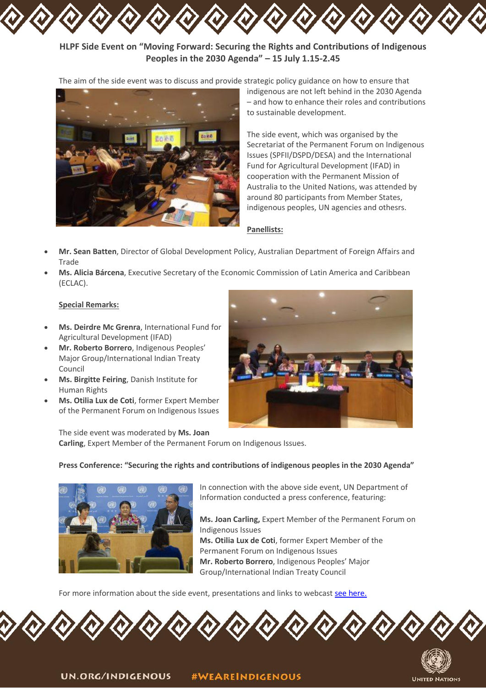

The aim of the side event was to discuss and provide strategic policy guidance on how to ensure that



indigenous are not left behind in the 2030 Agenda – and how to enhance their roles and contributions to sustainable development.

The side event, which was organised by the Secretariat of the Permanent Forum on Indigenous Issues (SPFII/DSPD/DESA) and the International Fund for Agricultural Development (IFAD) in cooperation with the Permanent Mission of Australia to the United Nations, was attended by around 80 participants from Member States, indigenous peoples, UN agencies and othesrs.

### **Panellists:**

- **Mr. Sean Batten**, Director of Global Development Policy, Australian Department of Foreign Affairs and Trade
- **Ms. Alicia Bárcena**, Executive Secretary of the Economic Commission of Latin America and Caribbean (ECLAC).

### **Special Remarks:**

- **Ms. Deirdre Mc Grenra**, International Fund for Agricultural Development (IFAD)
- **Mr. Roberto Borrero**, Indigenous Peoples' Major Group/International Indian Treaty Council
- **Ms. Birgitte Feiring**, Danish Institute for Human Rights
- **Ms. Otilia Lux de Coti**, former Expert Member of the Permanent Forum on Indigenous Issues



The side event was moderated by **Ms. Joan Carling**, Expert Member of the Permanent Forum on Indigenous Issues.

### **Press Conference: "Securing the rights and contributions of indigenous peoples in the 2030 Agenda"**



In connection with the above side event, UN Department of Information conducted a press conference, featuring:

 **Ms. Joan Carling,** Expert Member of the Permanent Forum on Indigenous Issues

 **Ms. Otilia Lux de Coti**, former Expert Member of the Permanent Forum on Indigenous Issues **Mr. Roberto Borrero**, Indigenous Peoples' Major Group/International Indian Treaty Council

For more information about the side event, presentations and links to webcast [see here.](https://www.un.org/development/desa/indigenouspeoples/focus-areas/post-2015-agenda/the-sustainable-development-goals-sdgs-and-indigenous/high-level-political-forum-on-sustainable-development.html)





UN.ORG/INDIGENOUS **#WEAREINDIGENOUS**